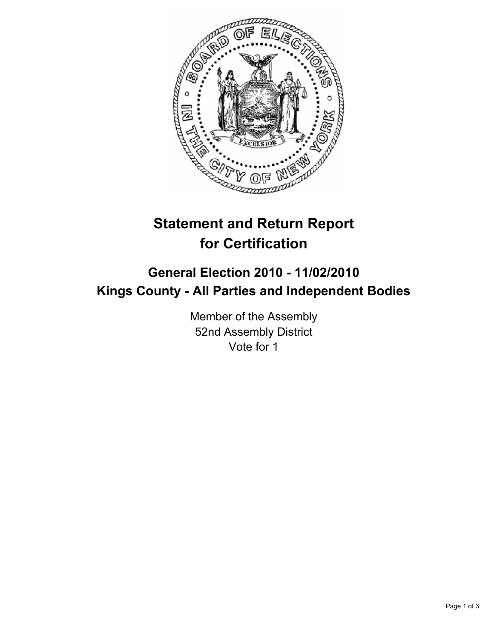

## **Statement and Return Report for Certification**

## **General Election 2010 - 11/02/2010 Kings County - All Parties and Independent Bodies**

Member of the Assembly 52nd Assembly District Vote for 1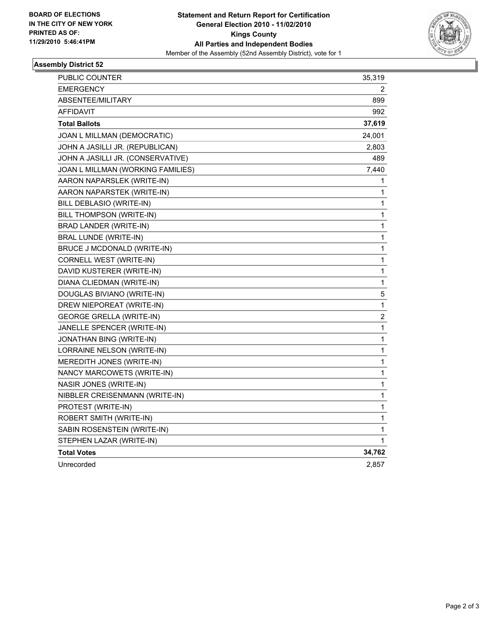

## **Assembly District 52**

| PUBLIC COUNTER                    | 35,319                |
|-----------------------------------|-----------------------|
| <b>EMERGENCY</b>                  | $\mathbf{2}^{\prime}$ |
| ABSENTEE/MILITARY                 | 899                   |
| <b>AFFIDAVIT</b>                  | 992                   |
| <b>Total Ballots</b>              | 37,619                |
| JOAN L MILLMAN (DEMOCRATIC)       | 24,001                |
| JOHN A JASILLI JR. (REPUBLICAN)   | 2,803                 |
| JOHN A JASILLI JR. (CONSERVATIVE) | 489                   |
| JOAN L MILLMAN (WORKING FAMILIES) | 7,440                 |
| AARON NAPARSLEK (WRITE-IN)        | 1                     |
| AARON NAPARSTEK (WRITE-IN)        | 1                     |
| BILL DEBLASIO (WRITE-IN)          | 1                     |
| BILL THOMPSON (WRITE-IN)          | 1                     |
| <b>BRAD LANDER (WRITE-IN)</b>     | 1                     |
| BRAL LUNDE (WRITE-IN)             | 1                     |
| BRUCE J MCDONALD (WRITE-IN)       | 1                     |
| CORNELL WEST (WRITE-IN)           | 1                     |
| DAVID KUSTERER (WRITE-IN)         | 1                     |
| DIANA CLIEDMAN (WRITE-IN)         | 1                     |
| DOUGLAS BIVIANO (WRITE-IN)        | 5                     |
| DREW NIEPOREAT (WRITE-IN)         | 1                     |
| <b>GEORGE GRELLA (WRITE-IN)</b>   | $\boldsymbol{2}$      |
| JANELLE SPENCER (WRITE-IN)        | $\mathbf{1}$          |
| JONATHAN BING (WRITE-IN)          | 1                     |
| LORRAINE NELSON (WRITE-IN)        | 1                     |
| MEREDITH JONES (WRITE-IN)         | 1                     |
| NANCY MARCOWETS (WRITE-IN)        | 1                     |
| NASIR JONES (WRITE-IN)            | 1                     |
| NIBBLER CREISENMANN (WRITE-IN)    | 1                     |
| PROTEST (WRITE-IN)                | 1                     |
| ROBERT SMITH (WRITE-IN)           | $\mathbf{1}$          |
| SABIN ROSENSTEIN (WRITE-IN)       | 1                     |
| STEPHEN LAZAR (WRITE-IN)          | 1                     |
| <b>Total Votes</b>                | 34,762                |
| Unrecorded                        | 2,857                 |